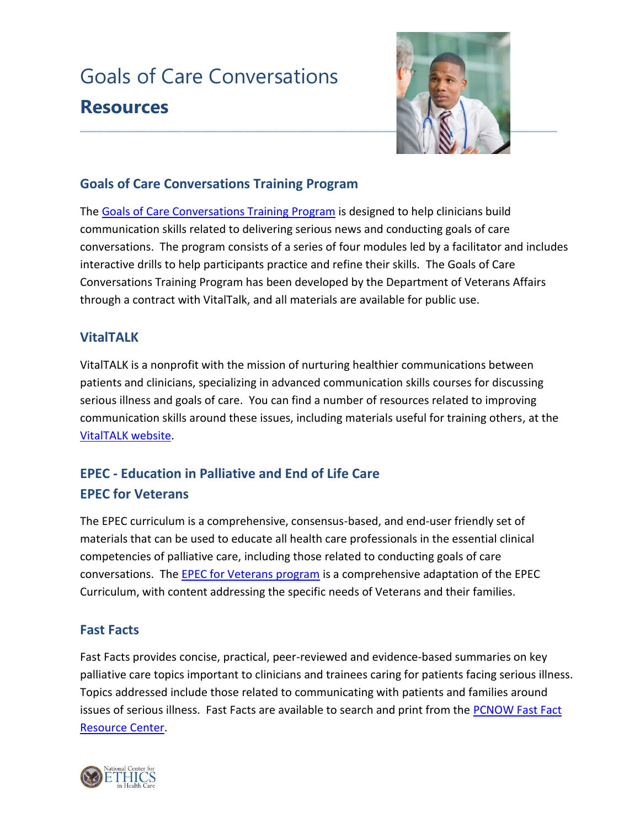# Goals of Care Conversations **Resources**



## **Goals of Care Conversations Training Program**

The [Goals of Care Conversations Training Program](http://www.ethics.va.gov/goalsofcaretraining.asp) is designed to help clinicians build communication skills related to delivering serious news and conducting goals of care conversations. The program consists of a series of four modules led by a facilitator and includes interactive drills to help participants practice and refine their skills. The Goals of Care Conversations Training Program has been developed by the Department of Veterans Affairs through a contract with VitalTalk, and all materials are available for public use.

## **VitalTALK**

VitalTALK is a nonprofit with the mission of nurturing healthier communications between patients and clinicians, specializing in advanced communication skills courses for discussing serious illness and goals of care. You can find a number of resources related to improving communication skills around these issues, including materials useful for training others, at the [VitalTALK website.](http://www.vitaltalk.org/)

## **EPEC - Education in Palliative and End of Life Care EPEC for Veterans**

The EPEC curriculum is a comprehensive, consensus-based, and end-user friendly set of materials that can be used to educate all health care professionals in the essential clinical competencies of palliative care, including those related to conducting goals of care conversations. The **EPEC for Veterans program** is a comprehensive adaptation of the EPEC Curriculum, with content addressing the specific needs of Veterans and their families.

## **Fast Facts**

Fast Facts provides concise, practical, peer-reviewed and evidence-based summaries on key palliative care topics important to clinicians and trainees caring for patients facing serious illness. Topics addressed include those related to communicating with patients and families around issues of serious illness. Fast Facts are available to search and print from the PCNOW Fast Fact [Resource Center.](http://www.mypcnow.org/#!fast-facts/c6xb)